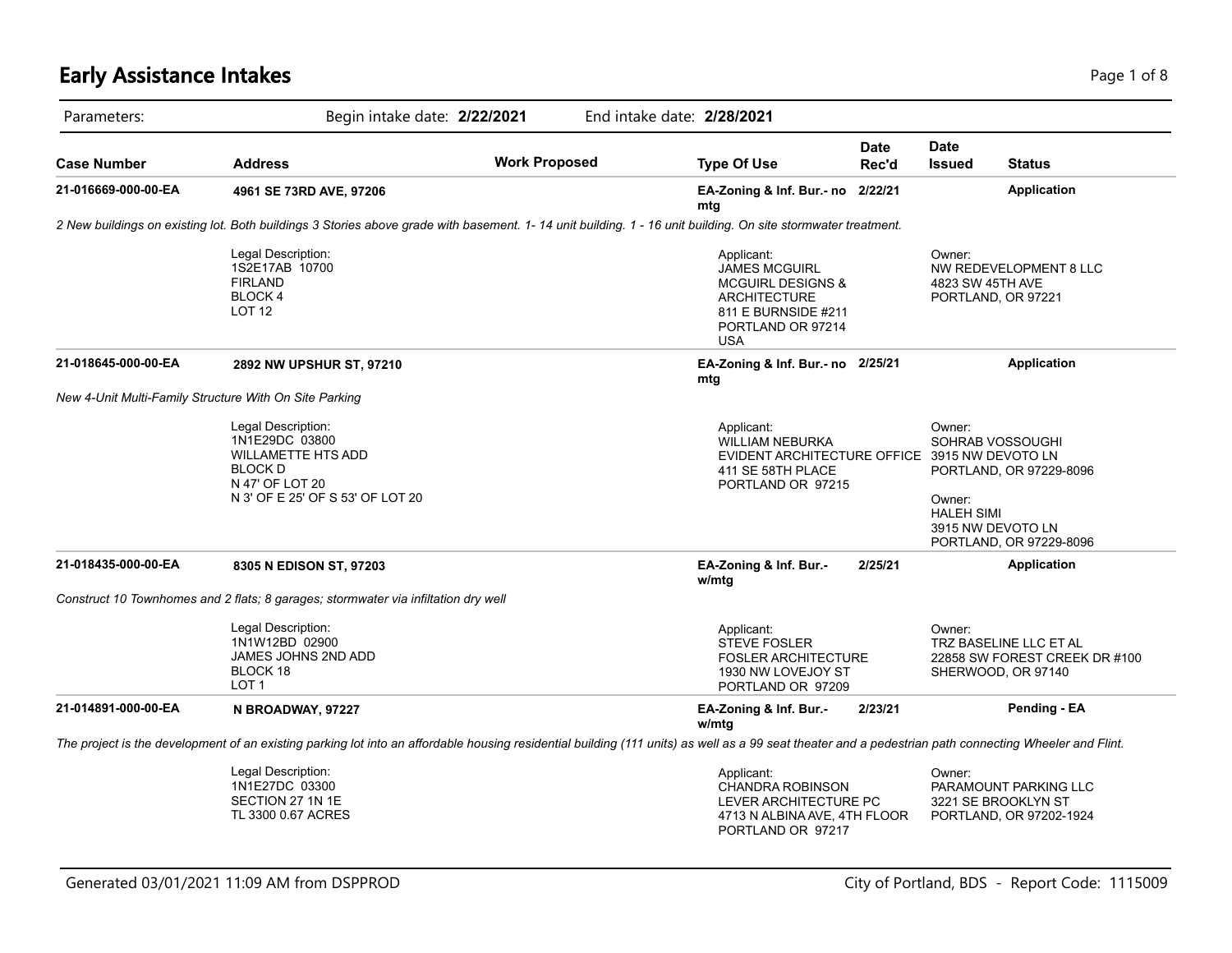# **Early Assistance Intakes** Page 1 of 8

| Parameters:         | Begin intake date: 2/22/2021                                                                                                                                                                           |                      | End intake date: 2/28/2021 |                                                                                                                                                     |               |                                       |                                                                                             |
|---------------------|--------------------------------------------------------------------------------------------------------------------------------------------------------------------------------------------------------|----------------------|----------------------------|-----------------------------------------------------------------------------------------------------------------------------------------------------|---------------|---------------------------------------|---------------------------------------------------------------------------------------------|
| <b>Case Number</b>  | <b>Address</b>                                                                                                                                                                                         | <b>Work Proposed</b> |                            | <b>Type Of Use</b>                                                                                                                                  | Date<br>Rec'd | <b>Date</b><br><b>Issued</b>          | <b>Status</b>                                                                               |
| 21-016669-000-00-EA | 4961 SE 73RD AVE, 97206                                                                                                                                                                                |                      |                            | EA-Zoning & Inf. Bur.- no 2/22/21<br>mtg                                                                                                            |               |                                       | <b>Application</b>                                                                          |
|                     | 2 New buildings on existing lot. Both buildings 3 Stories above grade with basement. 1-14 unit building. 1 - 16 unit building. On site stormwater treatment.                                           |                      |                            |                                                                                                                                                     |               |                                       |                                                                                             |
|                     | Legal Description:<br>1S2E17AB 10700<br><b>FIRLAND</b><br><b>BLOCK4</b><br><b>LOT 12</b>                                                                                                               |                      |                            | Applicant:<br><b>JAMES MCGUIRL</b><br><b>MCGUIRL DESIGNS &amp;</b><br><b>ARCHITECTURE</b><br>811 E BURNSIDE #211<br>PORTLAND OR 97214<br><b>USA</b> |               | Owner:<br>4823 SW 45TH AVE            | NW REDEVELOPMENT 8 LLC<br>PORTLAND, OR 97221                                                |
| 21-018645-000-00-EA | 2892 NW UPSHUR ST, 97210                                                                                                                                                                               |                      |                            | EA-Zoning & Inf. Bur.- no 2/25/21<br>mtg                                                                                                            |               |                                       | <b>Application</b>                                                                          |
|                     | New 4-Unit Multi-Family Structure With On Site Parking                                                                                                                                                 |                      |                            |                                                                                                                                                     |               |                                       |                                                                                             |
|                     | Legal Description:<br>1N1E29DC 03800<br><b>WILLAMETTE HTS ADD</b><br><b>BLOCK D</b><br>N 47' OF LOT 20<br>N 3' OF E 25' OF S 53' OF LOT 20                                                             |                      |                            | Applicant:<br><b>WILLIAM NEBURKA</b><br>EVIDENT ARCHITECTURE OFFICE 3915 NW DEVOTO LN<br>411 SE 58TH PLACE<br>PORTLAND OR 97215                     |               | Owner:<br>Owner:<br><b>HALEH SIMI</b> | SOHRAB VOSSOUGHI<br>PORTLAND, OR 97229-8096<br>3915 NW DEVOTO LN<br>PORTLAND, OR 97229-8096 |
| 21-018435-000-00-EA | 8305 N EDISON ST, 97203                                                                                                                                                                                |                      |                            | EA-Zoning & Inf. Bur.-<br>w/mtg                                                                                                                     | 2/25/21       |                                       | <b>Application</b>                                                                          |
|                     | Construct 10 Townhomes and 2 flats; 8 garages; stormwater via infiltation dry well                                                                                                                     |                      |                            |                                                                                                                                                     |               |                                       |                                                                                             |
|                     | Legal Description:<br>1N1W12BD 02900<br>JAMES JOHNS 2ND ADD<br>BLOCK 18<br>LOT <sub>1</sub>                                                                                                            |                      |                            | Applicant:<br><b>STEVE FOSLER</b><br><b>FOSLER ARCHITECTURE</b><br>1930 NW LOVEJOY ST<br>PORTLAND OR 97209                                          |               | Owner:                                | TRZ BASELINE LLC ET AL<br>22858 SW FOREST CREEK DR #100<br>SHERWOOD, OR 97140               |
| 21-014891-000-00-EA | N BROADWAY, 97227                                                                                                                                                                                      |                      |                            | EA-Zoning & Inf. Bur.-<br>w/mtg                                                                                                                     | 2/23/21       |                                       | Pending - EA                                                                                |
|                     | The project is the development of an existing parking lot into an affordable housing residential building (111 units) as well as a 99 seat theater and a pedestrian path connecting Wheeler and Flint. |                      |                            |                                                                                                                                                     |               |                                       |                                                                                             |
|                     | Legal Description:<br>1N1E27DC 03300<br>SECTION 27 1N 1E<br>TL 3300 0.67 ACRES                                                                                                                         |                      |                            | Applicant:<br><b>CHANDRA ROBINSON</b><br>LEVER ARCHITECTURE PC<br>4713 N ALBINA AVE, 4TH FLOOR<br>PORTLAND OR 97217                                 |               | Owner:                                | PARAMOUNT PARKING LLC<br>3221 SE BROOKLYN ST<br>PORTLAND, OR 97202-1924                     |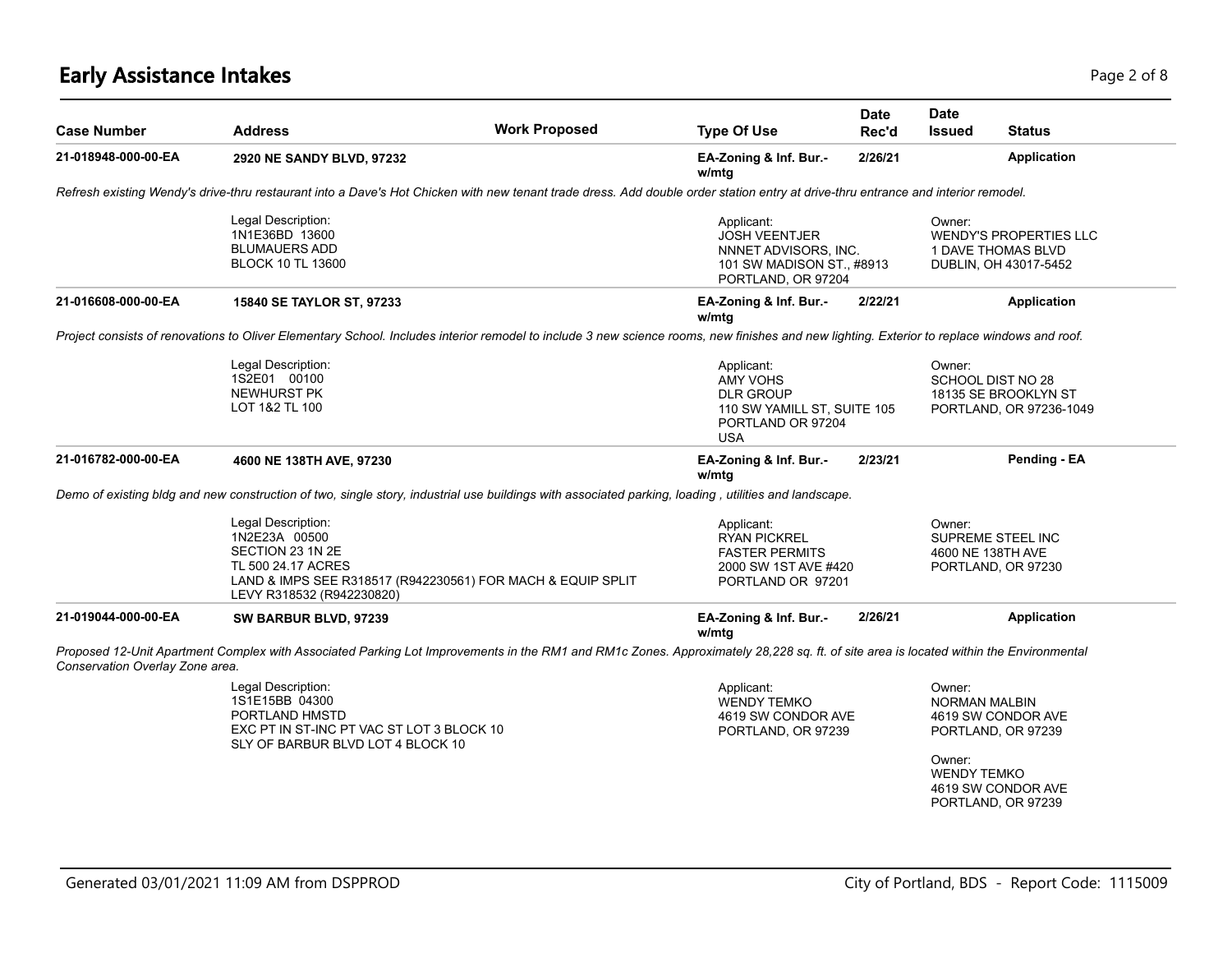# **Early Assistance Intakes** Page 2 of 8

| Case Number                     | <b>Address</b>                                                                                                                                                                              | <b>Work Proposed</b> | <b>Type Of Use</b>                                                                                                  | <b>Date</b><br>Rec'd | Date<br><b>Issued</b>                                          | <b>Status</b>                                                                        |
|---------------------------------|---------------------------------------------------------------------------------------------------------------------------------------------------------------------------------------------|----------------------|---------------------------------------------------------------------------------------------------------------------|----------------------|----------------------------------------------------------------|--------------------------------------------------------------------------------------|
| 21-018948-000-00-EA             | 2920 NE SANDY BLVD, 97232                                                                                                                                                                   |                      | EA-Zoning & Inf. Bur.-<br>w/mtg                                                                                     | 2/26/21              |                                                                | <b>Application</b>                                                                   |
|                                 | Refresh existing Wendy's drive-thru restaurant into a Dave's Hot Chicken with new tenant trade dress. Add double order station entry at drive-thru entrance and interior remodel.           |                      |                                                                                                                     |                      |                                                                |                                                                                      |
|                                 | Legal Description:<br>1N1E36BD 13600<br><b>BLUMAUERS ADD</b><br><b>BLOCK 10 TL 13600</b>                                                                                                    |                      | Applicant:<br><b>JOSH VEENTJER</b><br>NNNET ADVISORS, INC.<br>101 SW MADISON ST., #8913<br>PORTLAND, OR 97204       |                      | Owner:                                                         | <b>WENDY'S PROPERTIES LLC</b><br>1 DAVE THOMAS BLVD<br>DUBLIN, OH 43017-5452         |
| 21-016608-000-00-EA             | 15840 SE TAYLOR ST, 97233                                                                                                                                                                   |                      | EA-Zoning & Inf. Bur.-<br>w/mtg                                                                                     | 2/22/21              |                                                                | <b>Application</b>                                                                   |
|                                 | Project consists of renovations to Oliver Elementary School. Includes interior remodel to include 3 new science rooms, new finishes and new lighting. Exterior to replace windows and roof. |                      |                                                                                                                     |                      |                                                                |                                                                                      |
|                                 | Legal Description:<br>1S2E01 00100<br><b>NEWHURST PK</b><br>LOT 1&2 TL 100                                                                                                                  |                      | Applicant:<br><b>AMY VOHS</b><br><b>DLR GROUP</b><br>110 SW YAMILL ST, SUITE 105<br>PORTLAND OR 97204<br><b>USA</b> |                      | Owner:<br>SCHOOL DIST NO 28                                    | 18135 SE BROOKLYN ST<br>PORTLAND, OR 97236-1049                                      |
| 21-016782-000-00-EA             | 4600 NE 138TH AVE, 97230                                                                                                                                                                    |                      | EA-Zoning & Inf. Bur.-<br>w/mtg                                                                                     | 2/23/21              |                                                                | Pending - EA                                                                         |
|                                 | Demo of existing bldg and new construction of two, single story, industrial use buildings with associated parking, loading, utilities and landscape.                                        |                      |                                                                                                                     |                      |                                                                |                                                                                      |
|                                 | Legal Description:<br>1N2E23A 00500<br>SECTION 23 1N 2E<br>TL 500 24.17 ACRES<br>LAND & IMPS SEE R318517 (R942230561) FOR MACH & EQUIP SPLIT<br>LEVY R318532 (R942230820)                   |                      | Applicant:<br><b>RYAN PICKREL</b><br><b>FASTER PERMITS</b><br>2000 SW 1ST AVE #420<br>PORTLAND OR 97201             |                      | Owner:<br>4600 NE 138TH AVE                                    | SUPREME STEEL INC<br>PORTLAND, OR 97230                                              |
| 21-019044-000-00-EA             | SW BARBUR BLVD, 97239                                                                                                                                                                       |                      | EA-Zoning & Inf. Bur.-<br>w/mtg                                                                                     | 2/26/21              |                                                                | <b>Application</b>                                                                   |
| Conservation Overlay Zone area. | Proposed 12-Unit Apartment Complex with Associated Parking Lot Improvements in the RM1 and RM1c Zones. Approximately 28,228 sq. ft. of site area is located within the Environmental        |                      |                                                                                                                     |                      |                                                                |                                                                                      |
|                                 | Legal Description:<br>1S1E15BB 04300<br>PORTLAND HMSTD<br>EXC PT IN ST-INC PT VAC ST LOT 3 BLOCK 10<br>SLY OF BARBUR BLVD LOT 4 BLOCK 10                                                    |                      | Applicant:<br><b>WENDY TEMKO</b><br>4619 SW CONDOR AVE<br>PORTLAND, OR 97239                                        |                      | Owner:<br><b>NORMAN MALBIN</b><br>Owner:<br><b>WENDY TEMKO</b> | 4619 SW CONDOR AVE<br>PORTLAND, OR 97239<br>4619 SW CONDOR AVE<br>PORTLAND, OR 97239 |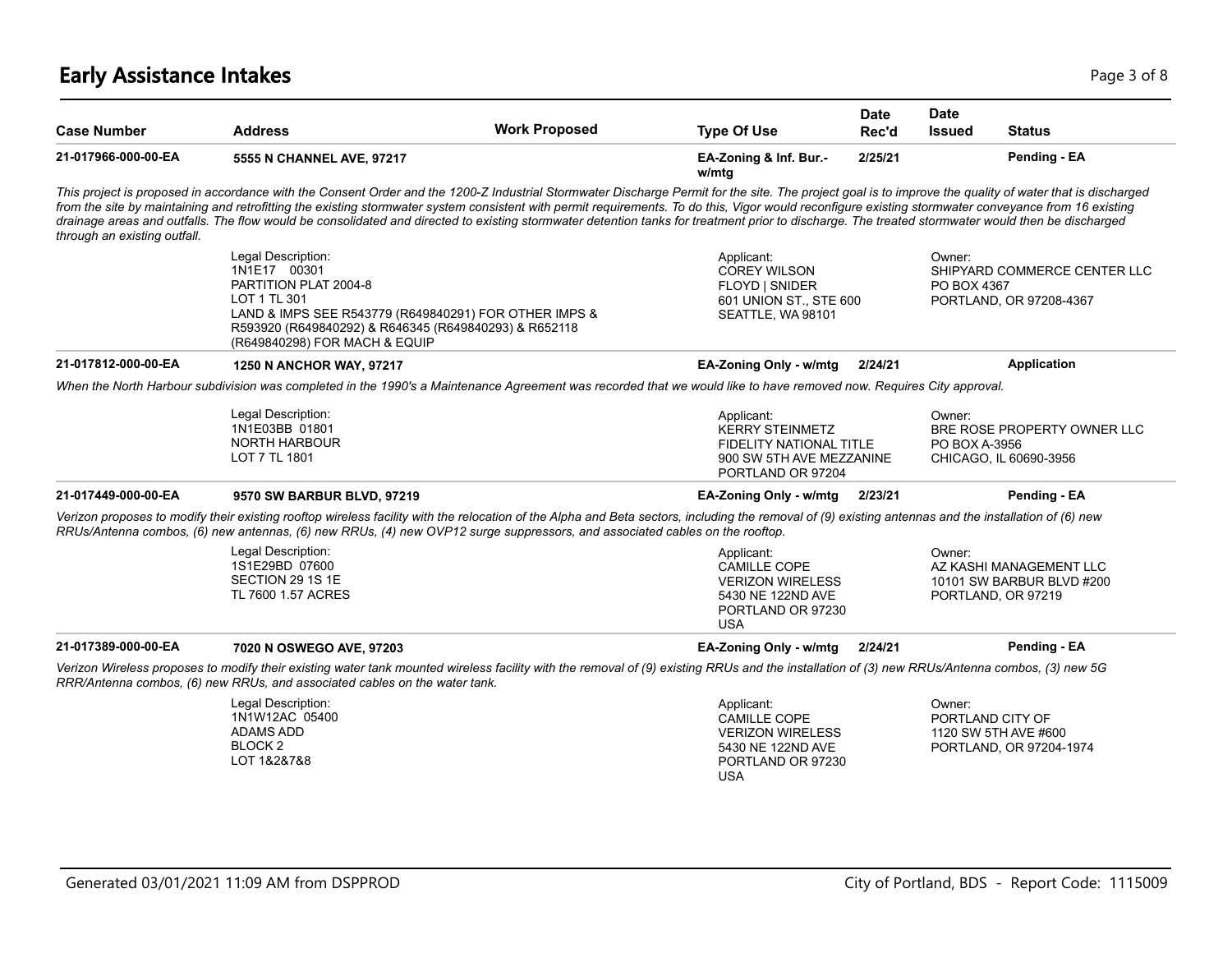# **Early Assistance Intakes** Page 1 of 8 and 2 and 2 and 2 and 2 and 2 and 2 and 2 and 2 and 2 and 2 and 2 and 2 and 2 and 2 and 2 and 2 and 2 and 2 and 2 and 2 and 2 and 2 and 2 and 2 and 2 and 2 and 2 and 2 and 2 and 2 and

| <b>Case Number</b>           | <b>Address</b>                                                                                                                                                                                                                                                                                                                                                                                                                                                                                                                                                                                                         | <b>Work Proposed</b> | <b>Type Of Use</b>                                                                                                      | <b>Date</b><br>Rec'd | <b>Date</b><br><b>Issued</b> | <b>Status</b>                                                              |
|------------------------------|------------------------------------------------------------------------------------------------------------------------------------------------------------------------------------------------------------------------------------------------------------------------------------------------------------------------------------------------------------------------------------------------------------------------------------------------------------------------------------------------------------------------------------------------------------------------------------------------------------------------|----------------------|-------------------------------------------------------------------------------------------------------------------------|----------------------|------------------------------|----------------------------------------------------------------------------|
| 21-017966-000-00-EA          | 5555 N CHANNEL AVE, 97217                                                                                                                                                                                                                                                                                                                                                                                                                                                                                                                                                                                              |                      | EA-Zoning & Inf. Bur.-<br>w/mtg                                                                                         | 2/25/21              |                              | Pending - EA                                                               |
| through an existing outfall. | This project is proposed in accordance with the Consent Order and the 1200-Z Industrial Stormwater Discharge Permit for the site. The project goal is to improve the quality of water that is discharged<br>from the site by maintaining and retrofitting the existing stormwater system consistent with permit requirements. To do this, Vigor would reconfigure existing stormwater conveyance from 16 existing<br>drainage areas and outfalls. The flow would be consolidated and directed to existing stormwater detention tanks for treatment prior to discharge. The treated stormwater would then be discharged |                      |                                                                                                                         |                      |                              |                                                                            |
|                              | Legal Description:<br>1N1E17 00301<br>PARTITION PLAT 2004-8<br>LOT 1 TL 301<br>LAND & IMPS SEE R543779 (R649840291) FOR OTHER IMPS &<br>R593920 (R649840292) & R646345 (R649840293) & R652118<br>(R649840298) FOR MACH & EQUIP                                                                                                                                                                                                                                                                                                                                                                                         |                      | Applicant:<br><b>COREY WILSON</b><br>FLOYD   SNIDER<br>601 UNION ST., STE 600<br>SEATTLE, WA 98101                      |                      | Owner:<br>PO BOX 4367        | SHIPYARD COMMERCE CENTER LLC<br>PORTLAND, OR 97208-4367                    |
| 21-017812-000-00-EA          | 1250 N ANCHOR WAY, 97217                                                                                                                                                                                                                                                                                                                                                                                                                                                                                                                                                                                               |                      | EA-Zoning Only - w/mtg                                                                                                  | 2/24/21              |                              | <b>Application</b>                                                         |
|                              | When the North Harbour subdivision was completed in the 1990's a Maintenance Agreement was recorded that we would like to have removed now. Requires City approval.                                                                                                                                                                                                                                                                                                                                                                                                                                                    |                      |                                                                                                                         |                      |                              |                                                                            |
|                              | Legal Description:<br>1N1E03BB 01801<br><b>NORTH HARBOUR</b><br>LOT 7 TL 1801                                                                                                                                                                                                                                                                                                                                                                                                                                                                                                                                          |                      | Applicant:<br><b>KERRY STEINMETZ</b><br><b>FIDELITY NATIONAL TITLE</b><br>900 SW 5TH AVE MEZZANINE<br>PORTLAND OR 97204 |                      | Owner:<br>PO BOX A-3956      | BRE ROSE PROPERTY OWNER LLC<br>CHICAGO, IL 60690-3956                      |
| 21-017449-000-00-EA          | 9570 SW BARBUR BLVD, 97219                                                                                                                                                                                                                                                                                                                                                                                                                                                                                                                                                                                             |                      | EA-Zoning Only - w/mtg                                                                                                  | 2/23/21              |                              | Pending - EA                                                               |
|                              | Verizon proposes to modify their existing rooftop wireless facility with the relocation of the Alpha and Beta sectors, including the removal of (9) existing antennas and the installation of (6) new<br>RRUs/Antenna combos, (6) new antennas, (6) new RRUs, (4) new OVP12 surge suppressors, and associated cables on the rooftop.                                                                                                                                                                                                                                                                                   |                      |                                                                                                                         |                      |                              |                                                                            |
|                              | Legal Description:<br>1S1E29BD 07600<br>SECTION 29 1S 1E<br>TL 7600 1.57 ACRES                                                                                                                                                                                                                                                                                                                                                                                                                                                                                                                                         |                      | Applicant:<br><b>CAMILLE COPE</b><br><b>VERIZON WIRELESS</b><br>5430 NE 122ND AVE<br>PORTLAND OR 97230<br><b>USA</b>    |                      | Owner:                       | AZ KASHI MANAGEMENT LLC<br>10101 SW BARBUR BLVD #200<br>PORTLAND, OR 97219 |
| 21-017389-000-00-EA          | 7020 N OSWEGO AVE, 97203                                                                                                                                                                                                                                                                                                                                                                                                                                                                                                                                                                                               |                      | EA-Zoning Only - w/mtg                                                                                                  | 2/24/21              |                              | Pending - EA                                                               |
|                              | Verizon Wireless proposes to modify their existing water tank mounted wireless facility with the removal of (9) existing RRUs and the installation of (3) new RRUs/Antenna combos, (3) new 5G<br>RRR/Antenna combos. (6) new RRUs, and associated cables on the water tank.                                                                                                                                                                                                                                                                                                                                            |                      |                                                                                                                         |                      |                              |                                                                            |
|                              | Legal Description:<br>1N1W12AC 05400<br>ADAMS ADD<br>BLOCK <sub>2</sub><br>LOT 1&2&7&8                                                                                                                                                                                                                                                                                                                                                                                                                                                                                                                                 |                      | Applicant:<br>CAMILLE COPE<br><b>VERIZON WIRELESS</b><br>5430 NE 122ND AVE<br>PORTLAND OR 97230<br><b>USA</b>           |                      | Owner:                       | PORTLAND CITY OF<br>1120 SW 5TH AVE #600<br>PORTLAND, OR 97204-1974        |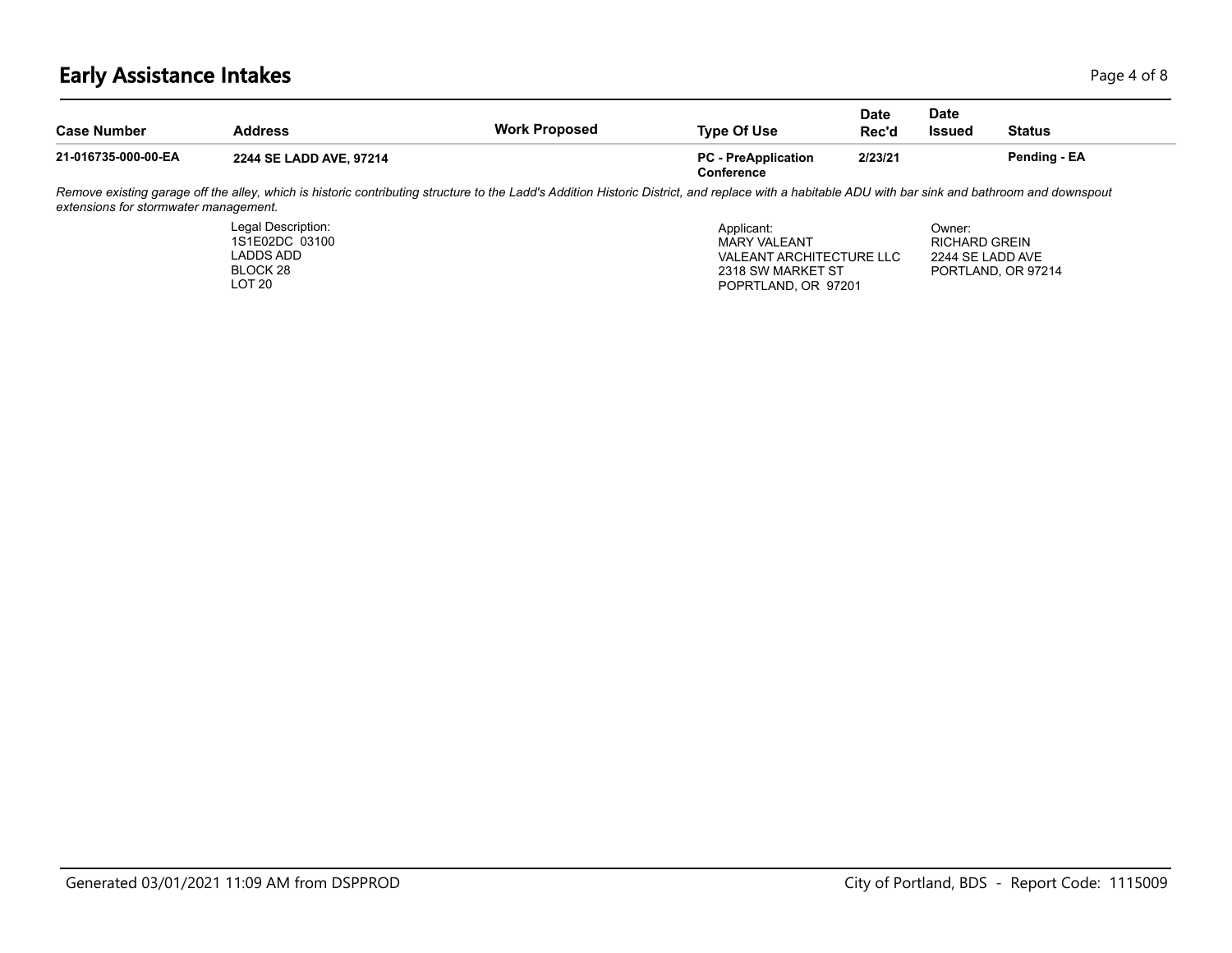## **Early Assistance Intakes** Page 4 of 8

BLOCK 28 LOT 20

| <b>Case Number</b>                    | <b>Address</b>                                                                                                                                                                                     | <b>Work Proposed</b> | <b>Type Of Use</b>                                            | Date<br>Rec'd | <b>Date</b><br><b>Issued</b>                       | <b>Status</b> |  |
|---------------------------------------|----------------------------------------------------------------------------------------------------------------------------------------------------------------------------------------------------|----------------------|---------------------------------------------------------------|---------------|----------------------------------------------------|---------------|--|
| 21-016735-000-00-EA                   | 2244 SE LADD AVE, 97214                                                                                                                                                                            |                      | <b>PC</b> - PreApplication<br>Conference                      | 2/23/21       |                                                    | Pending - EA  |  |
| extensions for stormwater management. | Remove existing garage off the alley, which is historic contributing structure to the Ladd's Addition Historic District, and replace with a habitable ADU with bar sink and bathroom and downspout |                      |                                                               |               |                                                    |               |  |
|                                       | Legal Description:<br>1S1E02DC 03100<br>LADDS ADD                                                                                                                                                  |                      | Applicant:<br><b>MARY VALEANT</b><br>VALEANT ARCHITECTURE LLC |               | Owner:<br><b>RICHARD GREIN</b><br>2244 SE LADD AVE |               |  |

2318 SW MARKET ST POPRTLAND, OR 97201 PORTLAND, OR 97214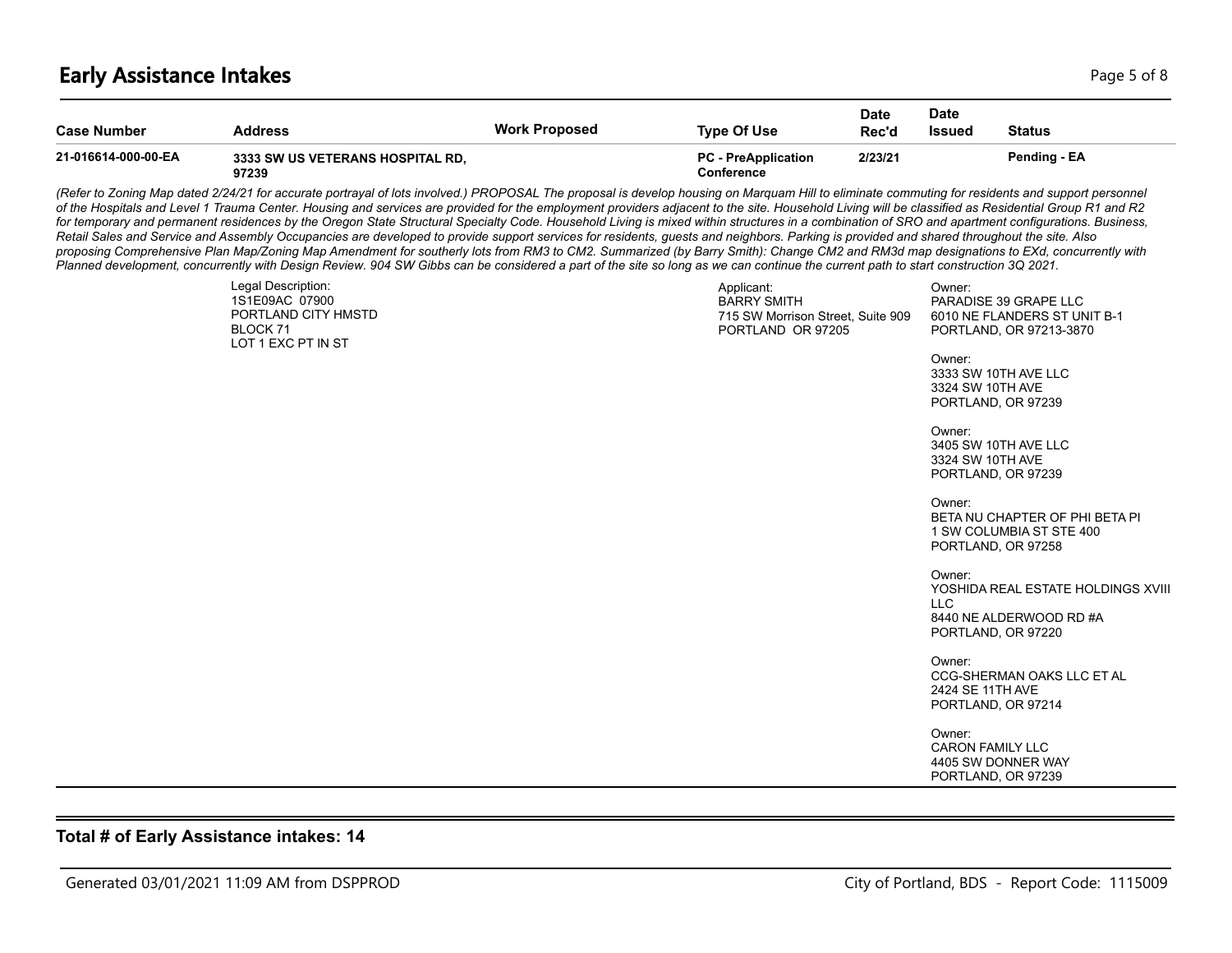### **Early Assistance Intakes** Page 5 of 8

| <b>Case Number</b>  | Address                                   | <b>Work Proposed</b> | <b>Type Of Use</b>                       | <b>Date</b><br>Rec'd | Date<br>Issued | <b>Status</b> |
|---------------------|-------------------------------------------|----------------------|------------------------------------------|----------------------|----------------|---------------|
| 21-016614-000-00-EA | 3333 SW US VETERANS HOSPITAL RD.<br>97239 |                      | <b>PC</b> - PreApplication<br>Conference | 2/23/21              |                | Pending - EA  |

(Refer to Zoning Map dated 2/24/21 for accurate portrayal of lots involved.) PROPOSAL The proposal is develop housing on Marquam Hill to eliminate commuting for residents and support personnel *of the Hospitals and Level 1 Trauma Center. Housing and services are provided for the employment providers adjacent to the site. Household Living will be classified as Residential Group R1 and R2*  for temporary and permanent residences by the Oregon State Structural Specialty Code. Household Living is mixed within structures in a combination of SRO and apartment configurations. Business, *Retail Sales and Service and Assembly Occupancies are developed to provide support services for residents, guests and neighbors. Parking is provided and shared throughout the site. Also proposing Comprehensive Plan Map/Zoning Map Amendment for southerly lots from RM3 to CM2. Summarized (by Barry Smith): Change CM2 and RM3d map designations to EXd, concurrently with Planned development, concurrently with Design Review. 904 SW Gibbs can be considered a part of the site so long as we can continue the current path to start construction 3Q 2021.*

| Legal Description:<br>1S1E09AC 07900<br>PORTLAND CITY HMSTD<br>BLOCK 71<br>LOT 1 EXC PT IN ST | Applicant:<br><b>BARRY SMITH</b><br>715 SW Morrison Street, Suite 909<br>PORTLAND OR 97205 | Owner:<br>PARADISE 39 GRAPE LLC<br>6010 NE FLANDERS ST UNIT B-1<br>PORTLAND, OR 97213-3870<br>Owner:        |
|-----------------------------------------------------------------------------------------------|--------------------------------------------------------------------------------------------|-------------------------------------------------------------------------------------------------------------|
|                                                                                               |                                                                                            | 3333 SW 10TH AVE LLC<br>3324 SW 10TH AVE<br>PORTLAND, OR 97239                                              |
|                                                                                               |                                                                                            | Owner:<br>3405 SW 10TH AVE LLC<br>3324 SW 10TH AVE<br>PORTLAND, OR 97239                                    |
|                                                                                               |                                                                                            | Owner:<br>BETA NU CHAPTER OF PHI BETA PI<br>1 SW COLUMBIA ST STE 400<br>PORTLAND, OR 97258                  |
|                                                                                               |                                                                                            | Owner:<br>YOSHIDA REAL ESTATE HOLDINGS XVIII<br><b>LLC</b><br>8440 NE ALDERWOOD RD #A<br>PORTLAND, OR 97220 |
|                                                                                               |                                                                                            | Owner:<br>CCG-SHERMAN OAKS LLC ET AL<br>2424 SE 11TH AVE<br>PORTLAND, OR 97214                              |
|                                                                                               |                                                                                            | Owner:<br><b>CARON FAMILY LLC</b><br>4405 SW DONNER WAY<br>PORTLAND, OR 97239                               |
|                                                                                               |                                                                                            |                                                                                                             |

### **Total # of Early Assistance intakes: 14**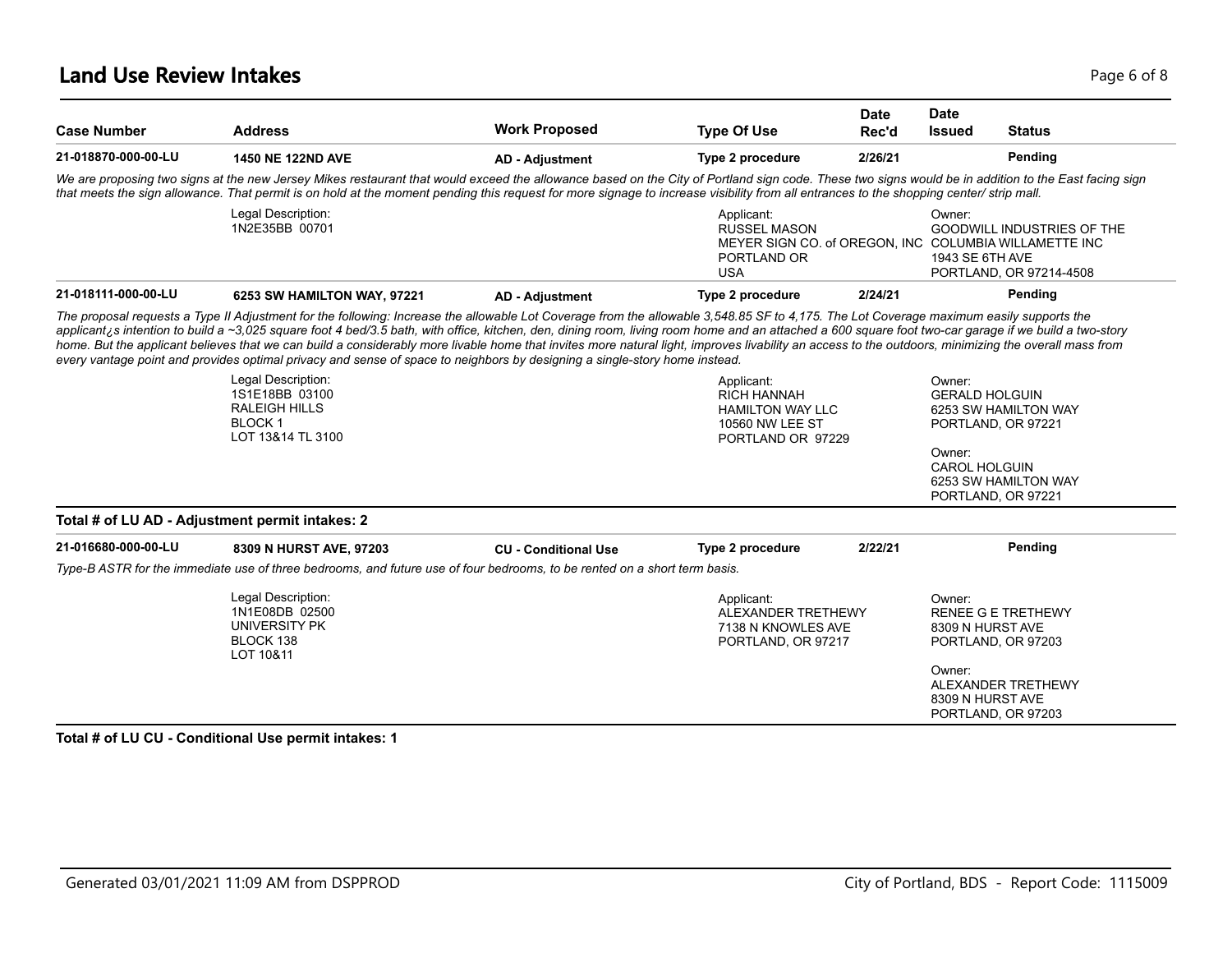### **Land Use Review Intakes** Page 6 of 8

| <b>Case Number</b>                              | <b>Address</b>                                                                                                                                                                                                                                                                                                                                                                                                                                                                                                                                                                                                                                                                                                                                      | <b>Work Proposed</b>        | <b>Type Of Use</b>                                                                                                      | <b>Date</b><br>Rec'd | <b>Date</b><br><b>Issued</b>    | <b>Status</b>                                                |
|-------------------------------------------------|-----------------------------------------------------------------------------------------------------------------------------------------------------------------------------------------------------------------------------------------------------------------------------------------------------------------------------------------------------------------------------------------------------------------------------------------------------------------------------------------------------------------------------------------------------------------------------------------------------------------------------------------------------------------------------------------------------------------------------------------------------|-----------------------------|-------------------------------------------------------------------------------------------------------------------------|----------------------|---------------------------------|--------------------------------------------------------------|
| 21-018870-000-00-LU                             | <b>1450 NE 122ND AVE</b>                                                                                                                                                                                                                                                                                                                                                                                                                                                                                                                                                                                                                                                                                                                            | <b>AD - Adjustment</b>      | Type 2 procedure                                                                                                        | 2/26/21              |                                 | Pending                                                      |
|                                                 | We are proposing two signs at the new Jersey Mikes restaurant that would exceed the allowance based on the City of Portland sign code. These two signs would be in addition to the East facing sign<br>that meets the sign allowance. That permit is on hold at the moment pending this request for more signage to increase visibility from all entrances to the shopping center/ strip mall.                                                                                                                                                                                                                                                                                                                                                      |                             |                                                                                                                         |                      |                                 |                                                              |
|                                                 | Legal Description:<br>1N2E35BB 00701                                                                                                                                                                                                                                                                                                                                                                                                                                                                                                                                                                                                                                                                                                                |                             | Applicant:<br><b>RUSSEL MASON</b><br>MEYER SIGN CO. of OREGON, INC COLUMBIA WILLAMETTE INC<br>PORTLAND OR<br><b>USA</b> |                      | Owner:<br>1943 SE 6TH AVE       | <b>GOODWILL INDUSTRIES OF THE</b><br>PORTLAND, OR 97214-4508 |
| 21-018111-000-00-LU                             | 6253 SW HAMILTON WAY, 97221                                                                                                                                                                                                                                                                                                                                                                                                                                                                                                                                                                                                                                                                                                                         | <b>AD - Adjustment</b>      | Type 2 procedure                                                                                                        | 2/24/21              |                                 | Pending                                                      |
|                                                 | The proposal requests a Type II Adjustment for the following: Increase the allowable Lot Coverage from the allowable 3,548.85 SF to 4,175. The Lot Coverage maximum easily supports the<br>applicant <sub>i</sub> s intention to build a ~3,025 square foot 4 bed/3.5 bath, with office, kitchen, den, dining room, living room home and an attached a 600 square foot two-car garage if we build a two-story<br>home. But the applicant believes that we can build a considerably more livable home that invites more natural light, improves livability an access to the outdoors, minimizing the overall mass from<br>every vantage point and provides optimal privacy and sense of space to neighbors by designing a single-story home instead. |                             |                                                                                                                         |                      |                                 |                                                              |
|                                                 | Legal Description:<br>1S1E18BB 03100<br><b>RALEIGH HILLS</b><br><b>BLOCK1</b><br>LOT 13&14 TL 3100                                                                                                                                                                                                                                                                                                                                                                                                                                                                                                                                                                                                                                                  |                             | Applicant:<br><b>RICH HANNAH</b><br><b>HAMILTON WAY LLC</b><br>10560 NW LEE ST<br>PORTLAND OR 97229                     |                      | Owner:<br><b>GERALD HOLGUIN</b> | 6253 SW HAMILTON WAY<br>PORTLAND, OR 97221                   |
|                                                 |                                                                                                                                                                                                                                                                                                                                                                                                                                                                                                                                                                                                                                                                                                                                                     |                             |                                                                                                                         |                      | Owner:<br><b>CAROL HOLGUIN</b>  | 6253 SW HAMILTON WAY<br>PORTLAND, OR 97221                   |
| Total # of LU AD - Adjustment permit intakes: 2 |                                                                                                                                                                                                                                                                                                                                                                                                                                                                                                                                                                                                                                                                                                                                                     |                             |                                                                                                                         |                      |                                 |                                                              |
| 21-016680-000-00-LU                             | 8309 N HURST AVE, 97203                                                                                                                                                                                                                                                                                                                                                                                                                                                                                                                                                                                                                                                                                                                             | <b>CU - Conditional Use</b> | Type 2 procedure                                                                                                        | 2/22/21              |                                 | Pending                                                      |
|                                                 | Type-B ASTR for the immediate use of three bedrooms, and future use of four bedrooms, to be rented on a short term basis.                                                                                                                                                                                                                                                                                                                                                                                                                                                                                                                                                                                                                           |                             |                                                                                                                         |                      |                                 |                                                              |
|                                                 | Legal Description:<br>1N1E08DB 02500<br><b>UNIVERSITY PK</b><br>BLOCK 138<br>LOT 10&11                                                                                                                                                                                                                                                                                                                                                                                                                                                                                                                                                                                                                                                              |                             | Applicant:<br>ALEXANDER TRETHEWY<br>7138 N KNOWLES AVE<br>PORTLAND, OR 97217                                            |                      | Owner:<br>8309 N HURST AVE      | <b>RENEE G E TRETHEWY</b><br>PORTLAND, OR 97203              |
|                                                 |                                                                                                                                                                                                                                                                                                                                                                                                                                                                                                                                                                                                                                                                                                                                                     |                             |                                                                                                                         |                      | Owner:<br>8309 N HURST AVE      | ALEXANDER TRETHEWY<br>PORTLAND, OR 97203                     |

#### **Total # of LU CU - Conditional Use permit intakes: 1**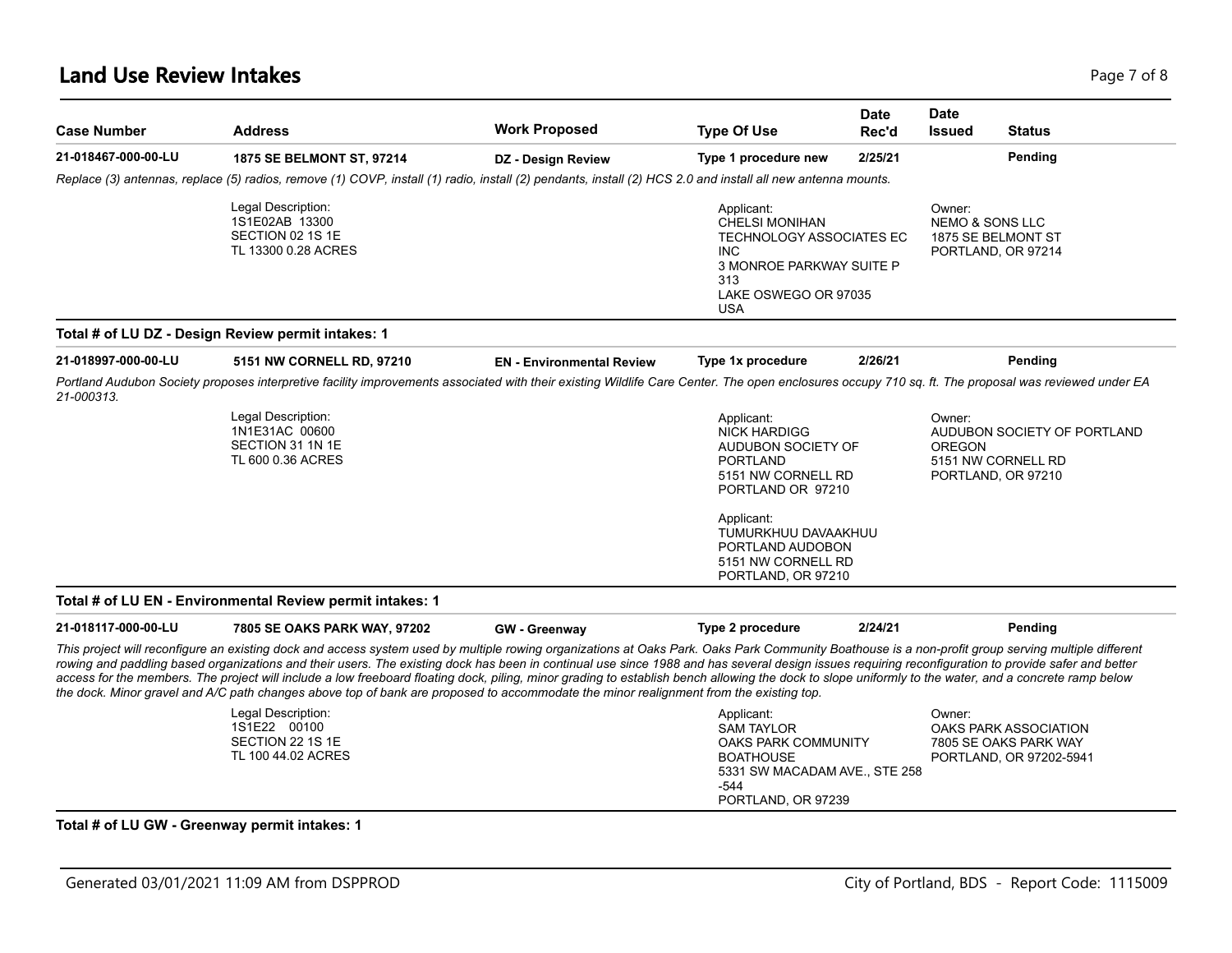| <b>Case Number</b>  | <b>Address</b>                                                                                                                                                                                                                                                                                                                                                                                                                                                                                                                                                                                                                                                                                                                                                | <b>Work Proposed</b>             | <b>Type Of Use</b>                                                                                                                                                             | <b>Date</b><br>Rec'd | <b>Date</b><br><b>Issued</b>         | <b>Status</b>                                                                    |
|---------------------|---------------------------------------------------------------------------------------------------------------------------------------------------------------------------------------------------------------------------------------------------------------------------------------------------------------------------------------------------------------------------------------------------------------------------------------------------------------------------------------------------------------------------------------------------------------------------------------------------------------------------------------------------------------------------------------------------------------------------------------------------------------|----------------------------------|--------------------------------------------------------------------------------------------------------------------------------------------------------------------------------|----------------------|--------------------------------------|----------------------------------------------------------------------------------|
| 21-018467-000-00-LU | 1875 SE BELMONT ST, 97214                                                                                                                                                                                                                                                                                                                                                                                                                                                                                                                                                                                                                                                                                                                                     | DZ - Design Review               | Type 1 procedure new                                                                                                                                                           | 2/25/21              |                                      | Pending                                                                          |
|                     | Replace (3) antennas, replace (5) radios, remove (1) COVP, install (1) radio, install (2) pendants, install (2) HCS 2.0 and install all new antenna mounts.                                                                                                                                                                                                                                                                                                                                                                                                                                                                                                                                                                                                   |                                  |                                                                                                                                                                                |                      |                                      |                                                                                  |
|                     | Legal Description:<br>1S1E02AB 13300<br>SECTION 02 1S 1E<br>TL 13300 0.28 ACRES                                                                                                                                                                                                                                                                                                                                                                                                                                                                                                                                                                                                                                                                               |                                  | Applicant:<br><b>CHELSI MONIHAN</b><br>TECHNOLOGY ASSOCIATES EC<br><b>INC</b><br>3 MONROE PARKWAY SUITE P<br>313<br>LAKE OSWEGO OR 97035<br><b>USA</b>                         |                      | Owner:<br><b>NEMO &amp; SONS LLC</b> | 1875 SE BELMONT ST<br>PORTLAND, OR 97214                                         |
|                     | Total # of LU DZ - Design Review permit intakes: 1                                                                                                                                                                                                                                                                                                                                                                                                                                                                                                                                                                                                                                                                                                            |                                  |                                                                                                                                                                                |                      |                                      |                                                                                  |
| 21-018997-000-00-LU | 5151 NW CORNELL RD, 97210                                                                                                                                                                                                                                                                                                                                                                                                                                                                                                                                                                                                                                                                                                                                     | <b>EN</b> - Environmental Review | Type 1x procedure                                                                                                                                                              | 2/26/21              |                                      | Pending                                                                          |
| 21-000313.          | Portland Audubon Society proposes interpretive facility improvements associated with their existing Wildlife Care Center. The open enclosures occupy 710 sq. ft. The proposal was reviewed under EA                                                                                                                                                                                                                                                                                                                                                                                                                                                                                                                                                           |                                  |                                                                                                                                                                                |                      |                                      |                                                                                  |
|                     | Legal Description:<br>1N1E31AC 00600<br>SECTION 31 1N 1E<br>TL 600 0.36 ACRES                                                                                                                                                                                                                                                                                                                                                                                                                                                                                                                                                                                                                                                                                 |                                  | Applicant:<br><b>NICK HARDIGG</b><br>AUDUBON SOCIETY OF<br><b>PORTLAND</b><br>5151 NW CORNELL RD<br>PORTLAND OR 97210<br>Applicant:<br>TUMURKHUU DAVAAKHUU<br>PORTLAND AUDOBON |                      | Owner:<br><b>OREGON</b>              | AUDUBON SOCIETY OF PORTLAND<br>5151 NW CORNELL RD<br>PORTLAND, OR 97210          |
|                     |                                                                                                                                                                                                                                                                                                                                                                                                                                                                                                                                                                                                                                                                                                                                                               |                                  | 5151 NW CORNELL RD<br>PORTLAND, OR 97210                                                                                                                                       |                      |                                      |                                                                                  |
|                     | Total # of LU EN - Environmental Review permit intakes: 1                                                                                                                                                                                                                                                                                                                                                                                                                                                                                                                                                                                                                                                                                                     |                                  |                                                                                                                                                                                |                      |                                      |                                                                                  |
| 21-018117-000-00-LU | 7805 SE OAKS PARK WAY, 97202                                                                                                                                                                                                                                                                                                                                                                                                                                                                                                                                                                                                                                                                                                                                  | <b>GW</b> - Greenway             | <b>Type 2 procedure</b>                                                                                                                                                        | 2/24/21              |                                      | Pending                                                                          |
|                     | This project will reconfigure an existing dock and access system used by multiple rowing organizations at Oaks Park. Oaks Park Community Boathouse is a non-profit group serving multiple different<br>rowing and paddling based organizations and their users. The existing dock has been in continual use since 1988 and has several design issues requiring reconfiguration to provide safer and better<br>access for the members. The project will include a low freeboard floating dock, piling, minor grading to establish bench allowing the dock to slope uniformly to the water, and a concrete ramp below<br>the dock. Minor gravel and A/C path changes above top of bank are proposed to accommodate the minor realignment from the existing top. |                                  |                                                                                                                                                                                |                      |                                      |                                                                                  |
|                     | Legal Description:<br>1S1E22 00100<br>SECTION 22 1S 1E<br>TL 100 44.02 ACRES                                                                                                                                                                                                                                                                                                                                                                                                                                                                                                                                                                                                                                                                                  |                                  | Applicant:<br><b>SAM TAYLOR</b><br>OAKS PARK COMMUNITY<br><b>BOATHOUSE</b><br>5331 SW MACADAM AVE., STE 258<br>$-544$<br>PORTLAND, OR 97239                                    |                      | Owner:                               | <b>OAKS PARK ASSOCIATION</b><br>7805 SE OAKS PARK WAY<br>PORTLAND, OR 97202-5941 |